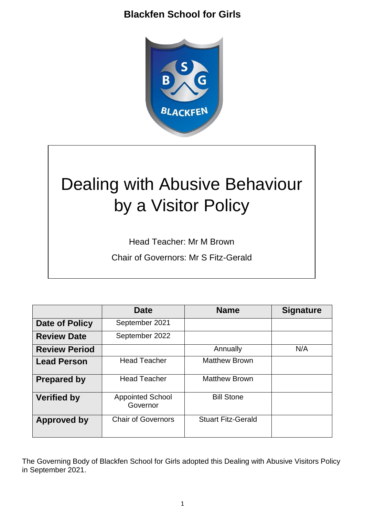

# Dealing with Abusive Behaviour by a Visitor Policy

Head Teacher: Mr M Brown

Chair of Governors: Mr S Fitz-Gerald

|                      | <b>Date</b>                         | <b>Name</b>               | <b>Signature</b> |
|----------------------|-------------------------------------|---------------------------|------------------|
| Date of Policy       | September 2021                      |                           |                  |
| <b>Review Date</b>   | September 2022                      |                           |                  |
| <b>Review Period</b> |                                     | Annually                  | N/A              |
| <b>Lead Person</b>   | <b>Head Teacher</b>                 | <b>Matthew Brown</b>      |                  |
| <b>Prepared by</b>   | <b>Head Teacher</b>                 | <b>Matthew Brown</b>      |                  |
| <b>Verified by</b>   | <b>Appointed School</b><br>Governor | <b>Bill Stone</b>         |                  |
| <b>Approved by</b>   | <b>Chair of Governors</b>           | <b>Stuart Fitz-Gerald</b> |                  |

The Governing Body of Blackfen School for Girls adopted this Dealing with Abusive Visitors Policy in September 2021.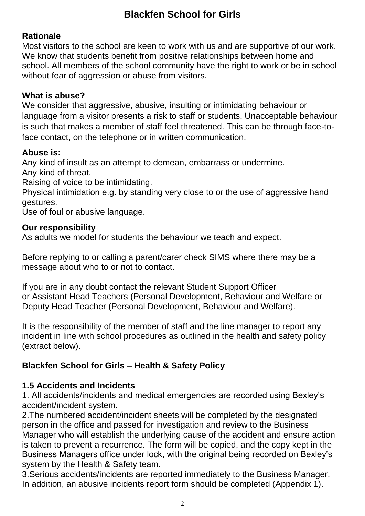## **Rationale**

Most visitors to the school are keen to work with us and are supportive of our work. We know that students benefit from positive relationships between home and school. All members of the school community have the right to work or be in school without fear of aggression or abuse from visitors.

## **What is abuse?**

We consider that aggressive, abusive, insulting or intimidating behaviour or language from a visitor presents a risk to staff or students. Unacceptable behaviour is such that makes a member of staff feel threatened. This can be through face-toface contact, on the telephone or in written communication.

## **Abuse is:**

Any kind of insult as an attempt to demean, embarrass or undermine. Any kind of threat.

Raising of voice to be intimidating.

Physical intimidation e.g. by standing very close to or the use of aggressive hand gestures.

Use of foul or abusive language.

#### **Our responsibility**

As adults we model for students the behaviour we teach and expect.

Before replying to or calling a parent/carer check SIMS where there may be a message about who to or not to contact.

If you are in any doubt contact the relevant Student Support Officer or Assistant Head Teachers (Personal Development, Behaviour and Welfare or Deputy Head Teacher (Personal Development, Behaviour and Welfare).

It is the responsibility of the member of staff and the line manager to report any incident in line with school procedures as outlined in the health and safety policy (extract below).

## **Blackfen School for Girls – Health & Safety Policy**

## **1.5 Accidents and Incidents**

1. All accidents/incidents and medical emergencies are recorded using Bexley's accident/incident system.

2.The numbered accident/incident sheets will be completed by the designated person in the office and passed for investigation and review to the Business Manager who will establish the underlying cause of the accident and ensure action is taken to prevent a recurrence. The form will be copied, and the copy kept in the Business Managers office under lock, with the original being recorded on Bexley's system by the Health & Safety team.

3.Serious accidents/incidents are reported immediately to the Business Manager. In addition, an abusive incidents report form should be completed (Appendix 1).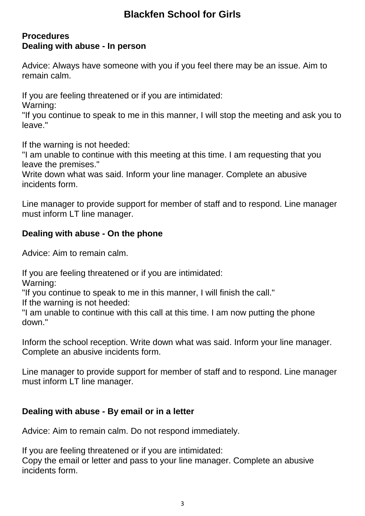#### **Procedures Dealing with abuse - In person**

Advice: Always have someone with you if you feel there may be an issue. Aim to remain calm.

If you are feeling threatened or if you are intimidated:

Warning:

"If you continue to speak to me in this manner, I will stop the meeting and ask you to leave."

If the warning is not heeded:

"I am unable to continue with this meeting at this time. I am requesting that you leave the premises."

Write down what was said. Inform your line manager. Complete an abusive incidents form.

Line manager to provide support for member of staff and to respond. Line manager must inform LT line manager.

## **Dealing with abuse - On the phone**

Advice: Aim to remain calm.

If you are feeling threatened or if you are intimidated:

Warning:

"If you continue to speak to me in this manner, I will finish the call."

If the warning is not heeded:

"I am unable to continue with this call at this time. I am now putting the phone down."

Inform the school reception. Write down what was said. Inform your line manager. Complete an abusive incidents form.

Line manager to provide support for member of staff and to respond. Line manager must inform LT line manager.

## **Dealing with abuse - By email or in a letter**

Advice: Aim to remain calm. Do not respond immediately.

If you are feeling threatened or if you are intimidated:

Copy the email or letter and pass to your line manager. Complete an abusive incidents form.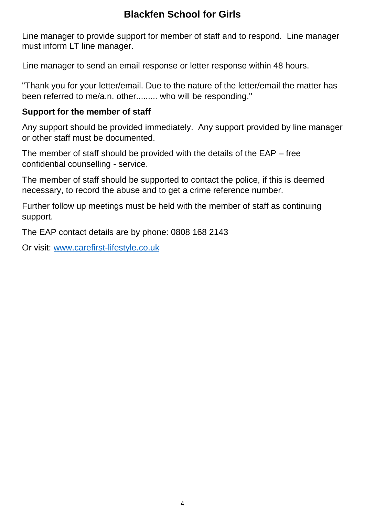Line manager to provide support for member of staff and to respond. Line manager must inform LT line manager.

Line manager to send an email response or letter response within 48 hours.

"Thank you for your letter/email. Due to the nature of the letter/email the matter has been referred to me/a.n. other......... who will be responding."

#### **Support for the member of staff**

Any support should be provided immediately. Any support provided by line manager or other staff must be documented.

The member of staff should be provided with the details of the EAP – free confidential counselling - service.

The member of staff should be supported to contact the police, if this is deemed necessary, to record the abuse and to get a crime reference number.

Further follow up meetings must be held with the member of staff as continuing support.

The EAP contact details are by phone: 0808 168 2143

Or visit: [www.carefirst-lifestyle.co.uk](http://www.carefirst-lifestyle.co.uk/)